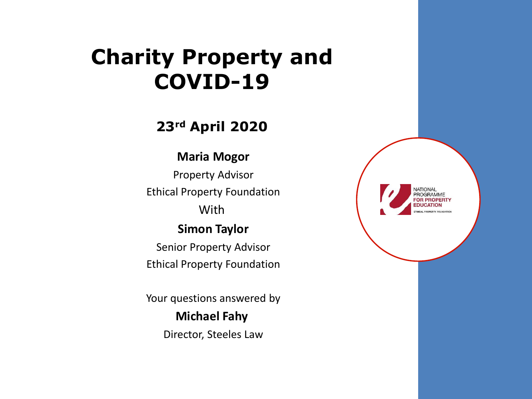#### **Charity Property and COVID-19**

#### **23rd April 2020**

#### **Maria Mogor**

Property Advisor Ethical Property Foundation **With** 

#### **Simon Taylor**

Senior Property Advisor Ethical Property Foundation

Your questions answered by

#### **Michael Fahy** Director, Steeles Law

| NATIONAL<br>PROGRAMME<br>$\blacklozenge$<br><b>FOR PROPERTY</b><br><b>EDUCATION</b><br><b>ETHICAL PROPERTY FOUNDATION</b> |  |
|---------------------------------------------------------------------------------------------------------------------------|--|
|                                                                                                                           |  |
|                                                                                                                           |  |
|                                                                                                                           |  |
|                                                                                                                           |  |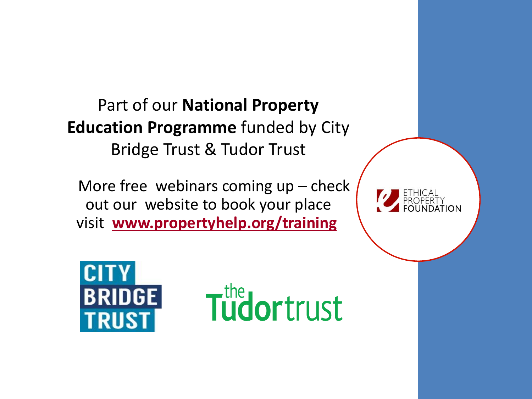Part of our **National Property Education Programme** funded by City Bridge Trust & Tudor Trust

More free webinars coming  $up$  – check out our website to book your place visit **[www.propertyhelp.org/training](https://propertyhelp.org/training/)**





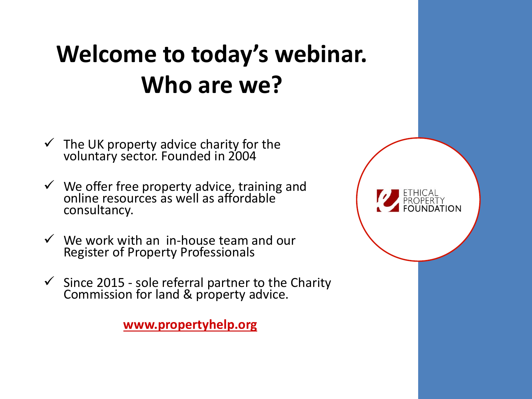### **Welcome to today's webinar. Who are we?**

- $\checkmark$  The UK property advice charity for the voluntary sector. Founded in 2004
- ✓ We offer free property advice, training and online resources as well as affordable $\check{ }$ consultancy.
- $\checkmark$  We work with an in-house team and our Register of Property Professionals
- $\checkmark$  Since 2015 sole referral partner to the Charity Commission for land & property advice.

**[www.propertyhelp.org](http://www.propertyhelp.org/)**

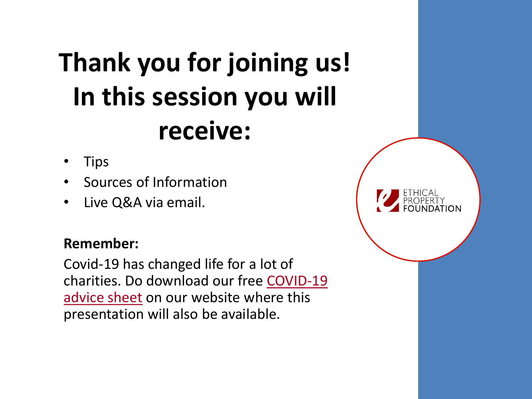# **Thank you for joining us! In this session you will receive:**

- Tips
- Sources of Information
- Live Q&A via email.

#### **Remember:**

Covid-19 has changed life for a lot of [charities. Do download our free](https://propertyhelp.org/wp-content/uploads/2020/01/Top-Tips-COVID-19-v2.pdf) COVID-19 advice sheet on our website where this presentation will also be available.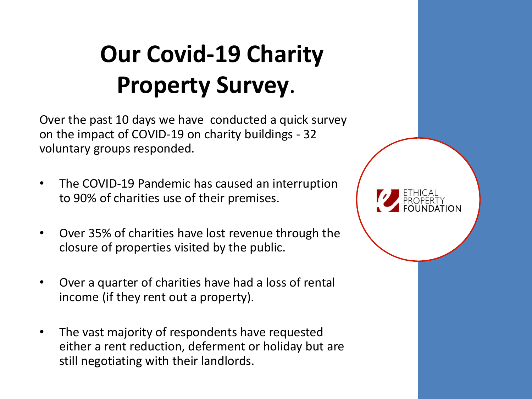### **Our Covid-19 Charity Property Survey**.

Over the past 10 days we have conducted a quick survey on the impact of COVID-19 on charity buildings - 32 voluntary groups responded.

- The COVID-19 Pandemic has caused an interruption to 90% of charities use of their premises.
- Over 35% of charities have lost revenue through the closure of properties visited by the public.
- Over a quarter of charities have had a loss of rental income (if they rent out a property).
- The vast majority of respondents have requested either a rent reduction, deferment or holiday but are still negotiating with their landlords.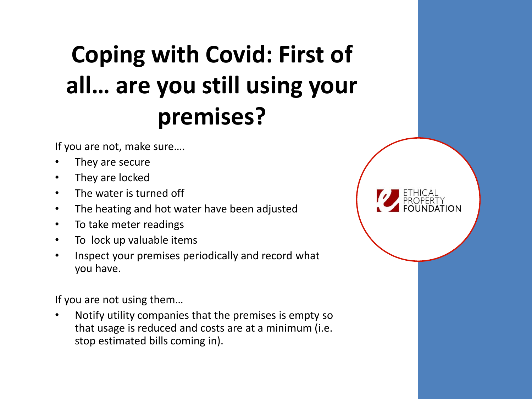### **Coping with Covid: First of all… are you still using your premises?**

If you are not, make sure….

- They are secure
- They are locked
- The water is turned off
- The heating and hot water have been adjusted
- To take meter readings
- To lock up valuable items
- Inspect your premises periodically and record what you have.

If you are not using them…

• Notify utility companies that the premises is empty so that usage is reduced and costs are at a minimum (i.e. stop estimated bills coming in).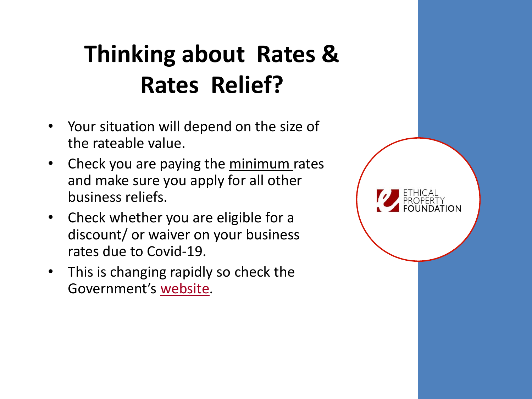### **Thinking about Rates & Rates Relief?**

- Your situation will depend on the size of the rateable value.
- Check you are paying the minimum rates and make sure you apply for all other business reliefs.
- Check whether you are eligible for a discount/ or waiver on your business rates due to Covid-19.
- This is changing rapidly so check the Government's [website.](https://www.gov.uk/government/publications/guidance-to-employers-and-businesses-about-covid-19)

| <b>ETHICAL</b><br>PROPERTY<br>FOUNDATION |  |
|------------------------------------------|--|
|                                          |  |
|                                          |  |
|                                          |  |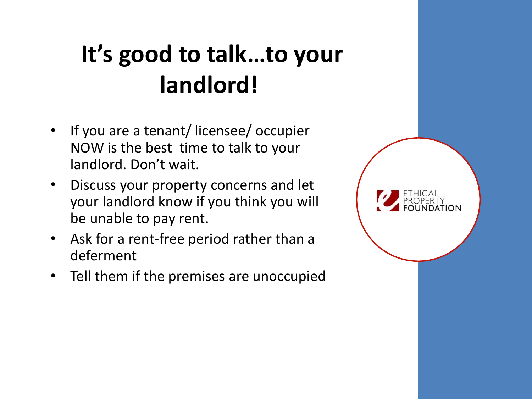### **It's good to talk…to your landlord!**

- If you are a tenant/ licensee/ occupier NOW is the best time to talk to your landlord. Don't wait.
- Discuss your property concerns and let your landlord know if you think you will be unable to pay rent.
- Ask for a rent-free period rather than a deferment
- Tell them if the premises are unoccupied

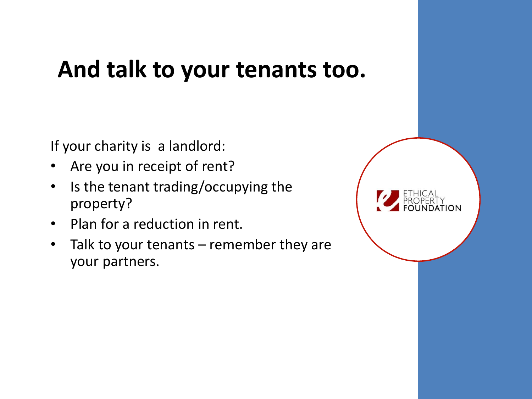#### **And talk to your tenants too.**

If your charity is a landlord:

- Are you in receipt of rent?
- Is the tenant trading/occupying the property?
- Plan for a reduction in rent.
- Talk to your tenants remember they are your partners.

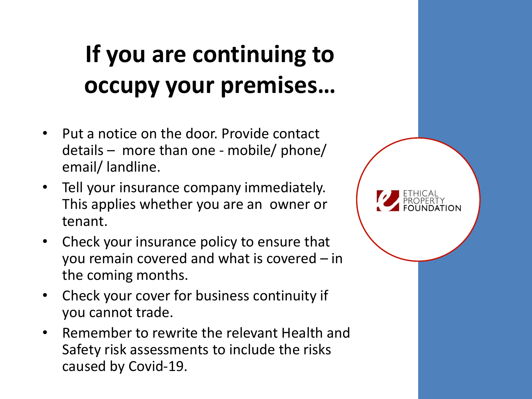### **If you are continuing to occupy your premises…**

- Put a notice on the door. Provide contact details – more than one - mobile/ phone/ email/ landline.
- Tell your insurance company immediately. This applies whether you are an owner or tenant.
- Check your insurance policy to ensure that you remain covered and what is covered – in the coming months.
- Check your cover for business continuity if you cannot trade.
- Remember to rewrite the relevant Health and Safety risk assessments to include the risks caused by Covid-19.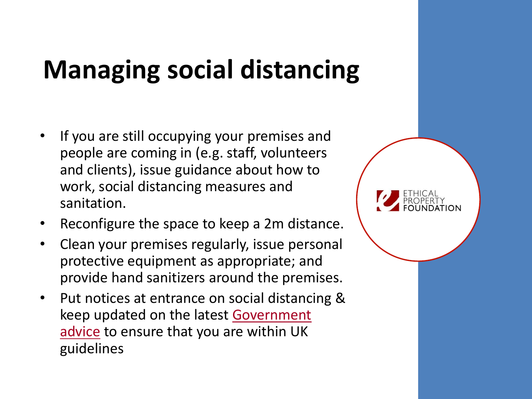## **Managing social distancing**

- If you are still occupying your premises and people are coming in (e.g. staff, volunteers and clients), issue guidance about how to work, social distancing measures and sanitation.
- Reconfigure the space to keep a 2m distance.
- Clean your premises regularly, issue personal protective equipment as appropriate; and provide hand sanitizers around the premises.
- Put notices at entrance on social distancing & [keep updated on the latest Government](https://www.gov.uk/government/publications/guidance-to-employers-and-businesses-about-covid-19)  advice to ensure that you are within UK guidelines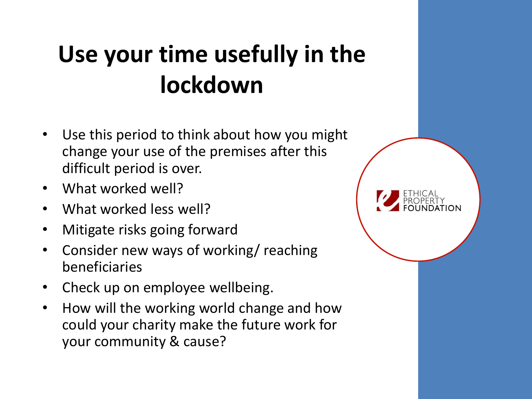### **Use your time usefully in the lockdown**

- Use this period to think about how you might change your use of the premises after this difficult period is over.
- What worked well?
- What worked less well?
- Mitigate risks going forward
- Consider new ways of working/ reaching beneficiaries
- Check up on employee wellbeing.
- How will the working world change and how could your charity make the future work for your community & cause?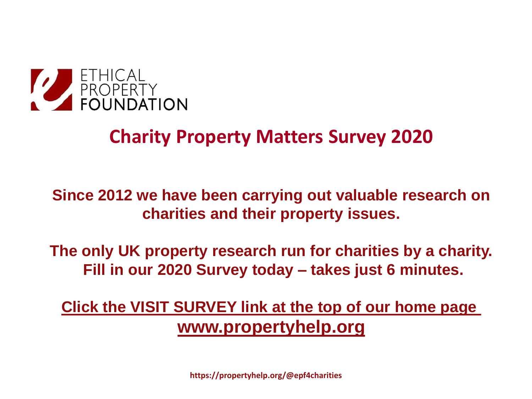

#### **Charity Property Matters Survey 2020**

#### **Since 2012 we have been carrying out valuable research on charities and their property issues.**

**The only UK property research run for charities by a charity. Fill in our 2020 Survey today – takes just 6 minutes.**

**[Click the VISIT SURVEY link at the top of our home page](https://www.surveymonkey.co.uk/r/QXNCBK2) [www.propertyhelp.org](https://www.surveymonkey.co.uk/r/QXNCBK2)**

**https://propertyhelp.org/@epf4charities**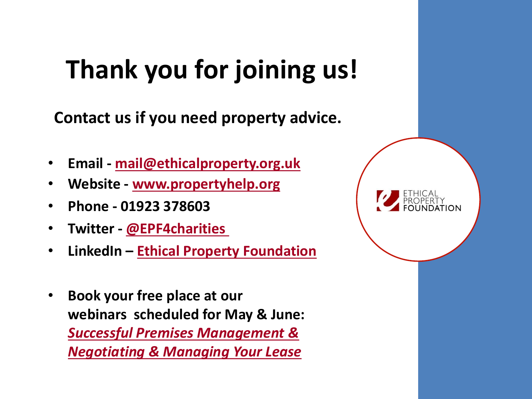## **Thank you for joining us!**

**Contact us if you need property advice.**

- **Email - [mail@ethicalproperty.org.uk](mailto:mail@ethicalproperty.org.uk)**
- **Website - [www.propertyhelp.org](http://www.propertyhelp.org/)**
- **Phone - 01923 378603**
- **Twitter - [@EPF4charities](https://twitter.com/EPF4charities)**
- **LinkedIn – [Ethical Property Foundation](https://www.linkedin.com/company/ethical-property-foundation/)**
- **Book your free place at our webinars scheduled for May & June:**  *[Successful Premises Management &](https://propertyhelp.org/training/)  Negotiating & Managing Your Lease*

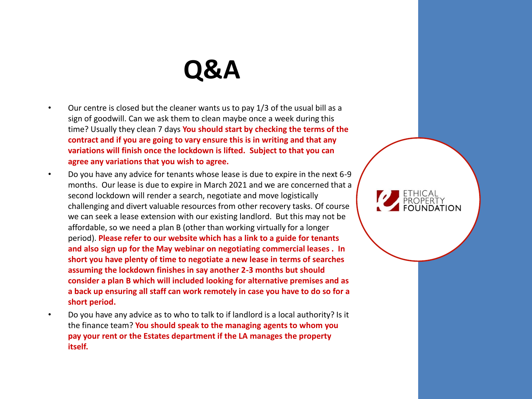#### **Q&A**

- Our centre is closed but the cleaner wants us to pay 1/3 of the usual bill as a sign of goodwill. Can we ask them to clean maybe once a week during this time? Usually they clean 7 days **You should start by checking the terms of the contract and if you are going to vary ensure this is in writing and that any variations will finish once the lockdown is lifted. Subject to that you can agree any variations that you wish to agree.**
- Do you have any advice for tenants whose lease is due to expire in the next 6-9 months. Our lease is due to expire in March 2021 and we are concerned that a second lockdown will render a search, negotiate and move logistically challenging and divert valuable resources from other recovery tasks. Of course we can seek a lease extension with our existing landlord. But this may not be affordable, so we need a plan B (other than working virtually for a longer period). **Please refer to our website which has a link to a guide for tenants and also sign up for the May webinar on negotiating commercial leases . In short you have plenty of time to negotiate a new lease in terms of searches assuming the lockdown finishes in say another 2-3 months but should consider a plan B which will included looking for alternative premises and as a back up ensuring all staff can work remotely in case you have to do so for a short period.**
- Do you have any advice as to who to talk to if landlord is a local authority? Is it the finance team? **You should speak to the managing agents to whom you pay your rent or the Estates department if the LA manages the property itself.**